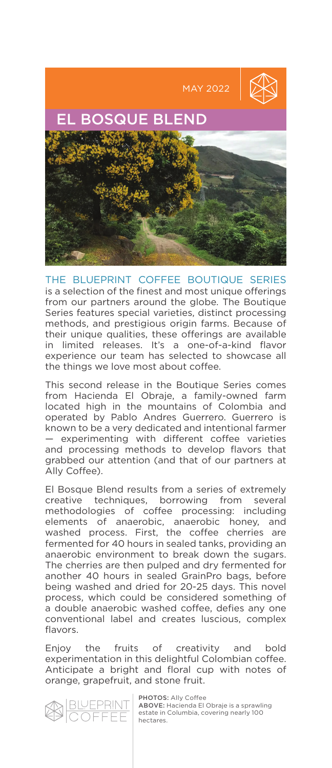

THE BLUEPRINT COFFEE BOUTIQUE SERIES is a selection of the finest and most unique offerings from our partners around the globe. The Boutique Series features special varieties, distinct processing methods, and prestigious origin farms. Because of their unique qualities, these offerings are available in limited releases. It's a one-of-a-kind flavor experience our team has selected to showcase all the things we love most about coffee.

This second release in the Boutique Series comes from Hacienda El Obraje, a family-owned farm located high in the mountains of Colombia and operated by Pablo Andres Guerrero. Guerrero is known to be a very dedicated and intentional farmer — experimenting with different coffee varieties and processing methods to develop flavors that grabbed our attention (and that of our partners at Ally Coffee).

El Bosque Blend results from a series of extremely creative techniques, borrowing from several methodologies of coffee processing: including elements of anaerobic, anaerobic honey, and washed process. First, the coffee cherries are fermented for 40 hours in sealed tanks, providing an anaerobic environment to break down the sugars. The cherries are then pulped and dry fermented for another 40 hours in sealed GrainPro bags, before being washed and dried for 20-25 days. This novel process, which could be considered something of a double anaerobic washed coffee, defies any one conventional label and creates luscious, complex flavors.

Enjoy the fruits of creativity and bold experimentation in this delightful Colombian coffee. Anticipate a bright and floral cup with notes of orange, grapefruit, and stone fruit.



PHOTOS: Ally Coffee ABOVE: Hacienda El Obraje is a sprawling estate in Columbia, covering nearly 100 hectares.